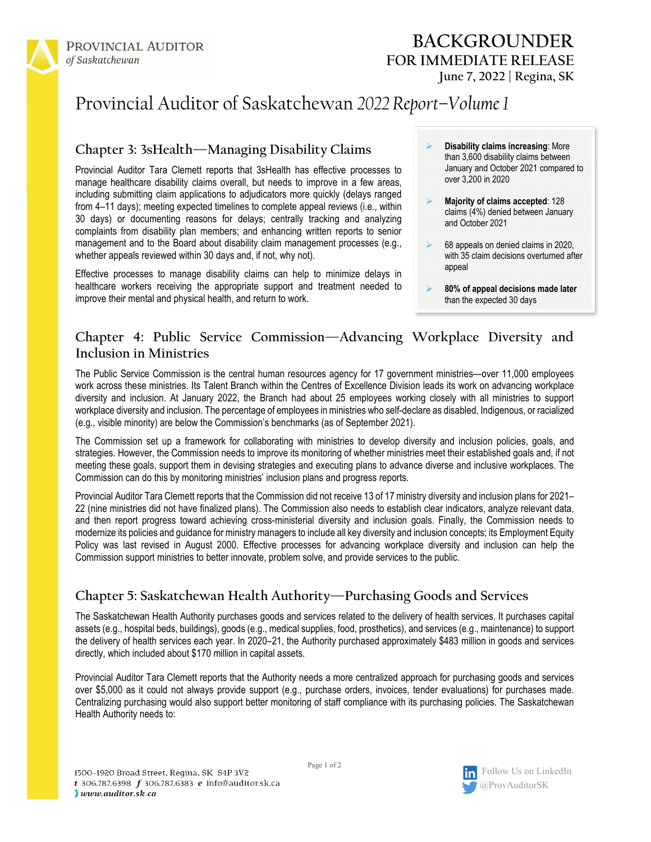

# Provincial Auditor of Saskatchewan *2022 Report–Volume 1*

### **Chapter 3: 3sHealth—Managing Disability Claims**

Provincial Auditor Tara Clemett reports that 3sHealth has effective processes to manage healthcare disability claims overall, but needs to improve in a few areas, including submitting claim applications to adjudicators more quickly (delays ranged from 4–11 days); meeting expected timelines to complete appeal reviews (i.e., within 30 days) or documenting reasons for delays; centrally tracking and analyzing complaints from disability plan members; and enhancing written reports to senior management and to the Board about disability claim management processes (e.g., whether appeals reviewed within 30 days and, if not, why not).

Effective processes to manage disability claims can help to minimize delays in healthcare workers receiving the appropriate support and treatment needed to improve their mental and physical health, and return to work.

- **Disability claims increasing**: More than 3,600 disability claims between January and October 2021 compared to over 3,200 in 2020
- **Majority of claims accepted**: 128 claims (4%) denied between January and October 2021
- $\triangleright$  68 appeals on denied claims in 2020, with 35 claim decisions overturned after appeal
- **80% of appeal decisions made later** than the expected 30 days

#### **Chapter 4: Public Service Commission—Advancing Workplace Diversity and Inclusion in Ministries**

The Public Service Commission is the central human resources agency for 17 government ministries—over 11,000 employees work across these ministries. Its Talent Branch within the Centres of Excellence Division leads its work on advancing workplace diversity and inclusion. At January 2022, the Branch had about 25 employees working closely with all ministries to support workplace diversity and inclusion. The percentage of employees in ministries who self-declare as disabled, Indigenous, or racialized (e.g., visible minority) are below the Commission's benchmarks (as of September 2021).

The Commission set up a framework for collaborating with ministries to develop diversity and inclusion policies, goals, and strategies. However, the Commission needs to improve its monitoring of whether ministries meet their established goals and, if not meeting these goals, support them in devising strategies and executing plans to advance diverse and inclusive workplaces. The Commission can do this by monitoring ministries' inclusion plans and progress reports.

Provincial Auditor Tara Clemett reports that the Commission did not receive 13 of 17 ministry diversity and inclusion plans for 2021– 22 (nine ministries did not have finalized plans). The Commission also needs to establish clear indicators, analyze relevant data, and then report progress toward achieving cross-ministerial diversity and inclusion goals. Finally, the Commission needs to modernize its policies and guidance for ministry managers to include all key diversity and inclusion concepts; its Employment Equity Policy was last revised in August 2000. Effective processes for advancing workplace diversity and inclusion can help the Commission support ministries to better innovate, problem solve, and provide services to the public.

## **Chapter 5: Saskatchewan Health Authority—Purchasing Goods and Services**

The Saskatchewan Health Authority purchases goods and services related to the delivery of health services. It purchases capital assets (e.g., hospital beds, buildings), goods (e.g., medical supplies, food, prosthetics), and services (e.g., maintenance) to support the delivery of health services each year. In 2020–21, the Authority purchased approximately \$483 million in goods and services directly, which included about \$170 million in capital assets.

Provincial Auditor Tara Clemett reports that the Authority needs a more centralized approach for purchasing goods and services over \$5,000 as it could not always provide support (e.g., purchase orders, invoices, tender evaluations) for purchases made. Centralizing purchasing would also support better monitoring of staff compliance with its purchasing policies. The Saskatchewan Health Authority needs to:

Page 1 of 2